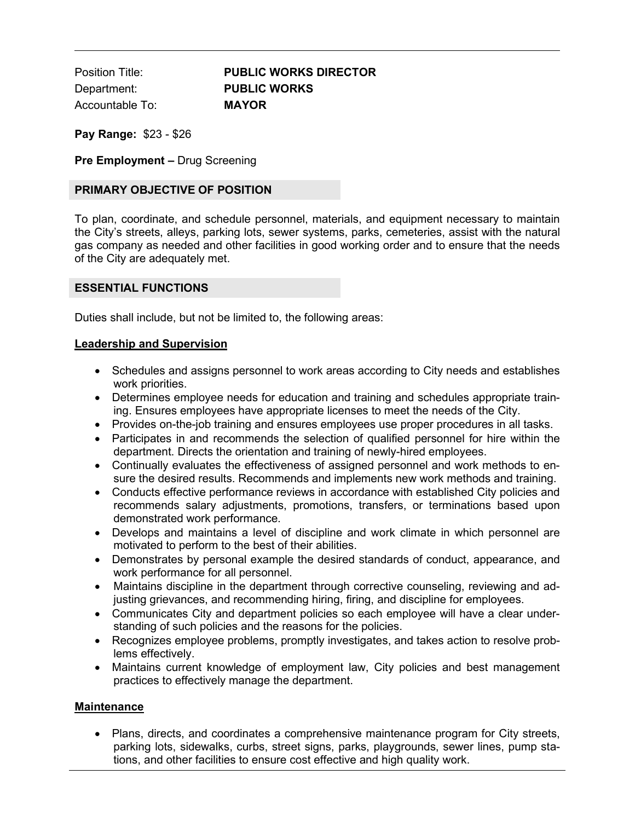Position Title: **PUBLIC WORKS DIRECTOR** Department: **PUBLIC WORKS** Accountable To: **MAYOR**

**Pay Range:** \$23 - \$26

**Pre Employment –** Drug Screening

### **PRIMARY OBJECTIVE OF POSITION**

To plan, coordinate, and schedule personnel, materials, and equipment necessary to maintain the City's streets, alleys, parking lots, sewer systems, parks, cemeteries, assist with the natural gas company as needed and other facilities in good working order and to ensure that the needs of the City are adequately met.

#### **ESSENTIAL FUNCTIONS**

Duties shall include, but not be limited to, the following areas:

#### **Leadership and Supervision**

- Schedules and assigns personnel to work areas according to City needs and establishes work priorities.
- Determines employee needs for education and training and schedules appropriate training. Ensures employees have appropriate licenses to meet the needs of the City.
- Provides on-the-job training and ensures employees use proper procedures in all tasks.
- Participates in and recommends the selection of qualified personnel for hire within the department. Directs the orientation and training of newly-hired employees.
- Continually evaluates the effectiveness of assigned personnel and work methods to ensure the desired results. Recommends and implements new work methods and training.
- Conducts effective performance reviews in accordance with established City policies and recommends salary adjustments, promotions, transfers, or terminations based upon demonstrated work performance.
- Develops and maintains a level of discipline and work climate in which personnel are motivated to perform to the best of their abilities.
- Demonstrates by personal example the desired standards of conduct, appearance, and work performance for all personnel.
- Maintains discipline in the department through corrective counseling, reviewing and adjusting grievances, and recommending hiring, firing, and discipline for employees.
- Communicates City and department policies so each employee will have a clear understanding of such policies and the reasons for the policies.
- Recognizes employee problems, promptly investigates, and takes action to resolve problems effectively.
- Maintains current knowledge of employment law, City policies and best management practices to effectively manage the department.

#### **Maintenance**

• Plans, directs, and coordinates a comprehensive maintenance program for City streets, parking lots, sidewalks, curbs, street signs, parks, playgrounds, sewer lines, pump stations, and other facilities to ensure cost effective and high quality work.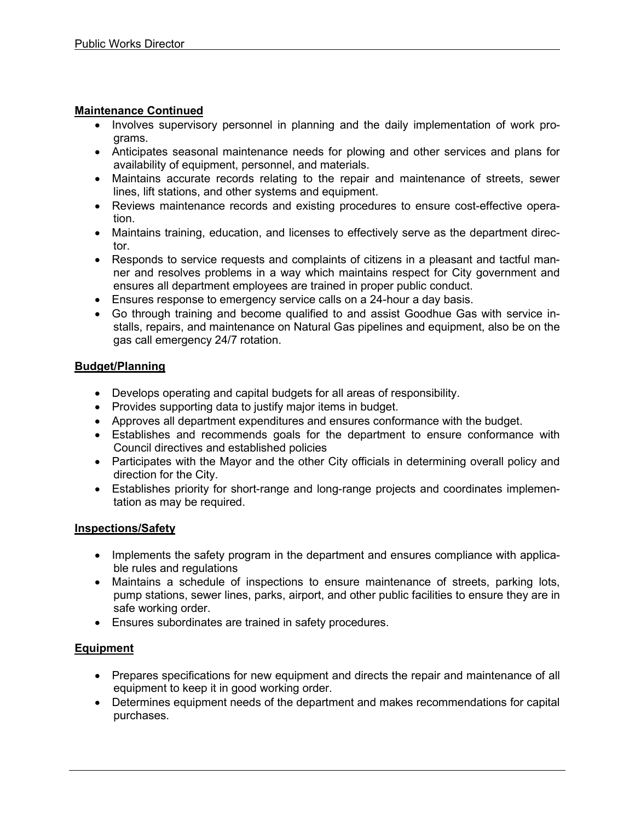## **Maintenance Continued**

- Involves supervisory personnel in planning and the daily implementation of work programs.
- Anticipates seasonal maintenance needs for plowing and other services and plans for availability of equipment, personnel, and materials.
- Maintains accurate records relating to the repair and maintenance of streets, sewer lines, lift stations, and other systems and equipment.
- Reviews maintenance records and existing procedures to ensure cost-effective operation.
- Maintains training, education, and licenses to effectively serve as the department director.
- Responds to service requests and complaints of citizens in a pleasant and tactful manner and resolves problems in a way which maintains respect for City government and ensures all department employees are trained in proper public conduct.
- Ensures response to emergency service calls on a 24-hour a day basis.
- Go through training and become qualified to and assist Goodhue Gas with service installs, repairs, and maintenance on Natural Gas pipelines and equipment, also be on the gas call emergency 24/7 rotation.

## **Budget/Planning**

- Develops operating and capital budgets for all areas of responsibility.
- Provides supporting data to justify major items in budget.
- Approves all department expenditures and ensures conformance with the budget.
- Establishes and recommends goals for the department to ensure conformance with Council directives and established policies
- Participates with the Mayor and the other City officials in determining overall policy and direction for the City.
- Establishes priority for short-range and long-range projects and coordinates implementation as may be required.

### **Inspections/Safety**

- Implements the safety program in the department and ensures compliance with applicable rules and regulations
- Maintains a schedule of inspections to ensure maintenance of streets, parking lots, pump stations, sewer lines, parks, airport, and other public facilities to ensure they are in safe working order.
- Ensures subordinates are trained in safety procedures.

# **Equipment**

- Prepares specifications for new equipment and directs the repair and maintenance of all equipment to keep it in good working order.
- Determines equipment needs of the department and makes recommendations for capital purchases.